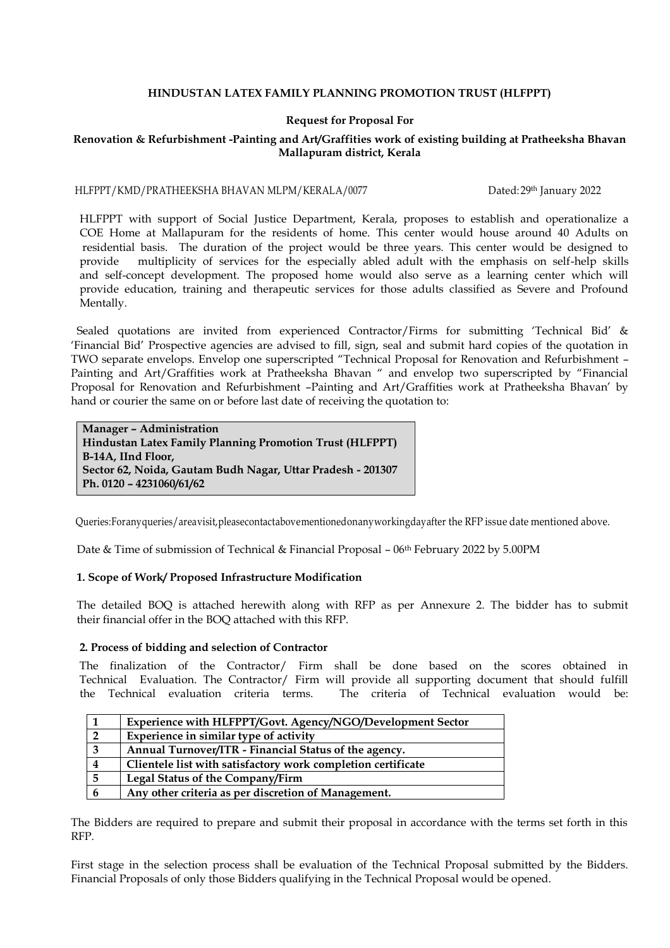## **HINDUSTAN LATEX FAMILY PLANNING PROMOTION TRUST (HLFPPT)**

## **Request for Proposal For**

# **Renovation & Refurbishment -Painting and Art/Graffities work of existing building at Pratheeksha Bhavan Mallapuram district, Kerala**

#### HLFPPT/KMD/PRATHEEKSHA BHAVAN MLPM/KERALA/0077 Dated: 29th January 2022

 HLFPPT with support of Social Justice Department, Kerala, proposes to establish and operationalize a COE Home at Mallapuram for the residents of home. This center would house around 40 Adults on residential basis. The duration of the project would be three years. This center would be designed to provide multiplicity of services for the especially abled adult with the emphasis on self-help skills and self-concept development. The proposed home would also serve as a learning center which will provide education, training and therapeutic services for those adults classified as Severe and Profound Mentally.

 Sealed quotations are invited from experienced Contractor/Firms for submitting 'Technical Bid' & 'Financial Bid' Prospective agencies are advised to fill, sign, seal and submit hard copies of the quotation in TWO separate envelops. Envelop one superscripted "Technical Proposal for Renovation and Refurbishment – Painting and Art/Graffities work at Pratheeksha Bhavan " and envelop two superscripted by "Financial Proposal for Renovation and Refurbishment –Painting and Art/Graffities work at Pratheeksha Bhavan' by hand or courier the same on or before last date of receiving the quotation to:

**Manager – Administration Hindustan Latex Family Planning Promotion Trust (HLFPPT) B-14A, IInd Floor, Sector 62, Noida, Gautam Budh Nagar, Uttar Pradesh - 201307 Ph. 0120 – 4231060/61/62**

Queries:Foranyqueries/areavisit,pleasecontactabovementionedonanyworkingdayafter the RFP issue date mentioned above.

Date & Time of submission of Technical & Financial Proposal – 06<sup>th</sup> February 2022 by 5.00PM

## **1. Scope of Work/ Proposed Infrastructure Modification**

 The detailed BOQ is attached herewith along with RFP as per Annexure 2. The bidder has to submit their financial offer in the BOQ attached with this RFP.

#### **2. Process of bidding and selection of Contractor**

 The finalization of the Contractor/ Firm shall be done based on the scores obtained in Technical Evaluation. The Contractor/ Firm will provide all supporting document that should fulfill The criteria of Technical evaluation would be:

|                | Experience with HLFPPT/Govt. Agency/NGO/Development Sector   |
|----------------|--------------------------------------------------------------|
| $\overline{2}$ | Experience in similar type of activity                       |
| 3              | Annual Turnover/ITR - Financial Status of the agency.        |
| 4              | Clientele list with satisfactory work completion certificate |
| -5             | Legal Status of the Company/Firm                             |
| 6              | Any other criteria as per discretion of Management.          |

The Bidders are required to prepare and submit their proposal in accordance with the terms set forth in this RFP.

First stage in the selection process shall be evaluation of the Technical Proposal submitted by the Bidders. Financial Proposals of only those Bidders qualifying in the Technical Proposal would be opened.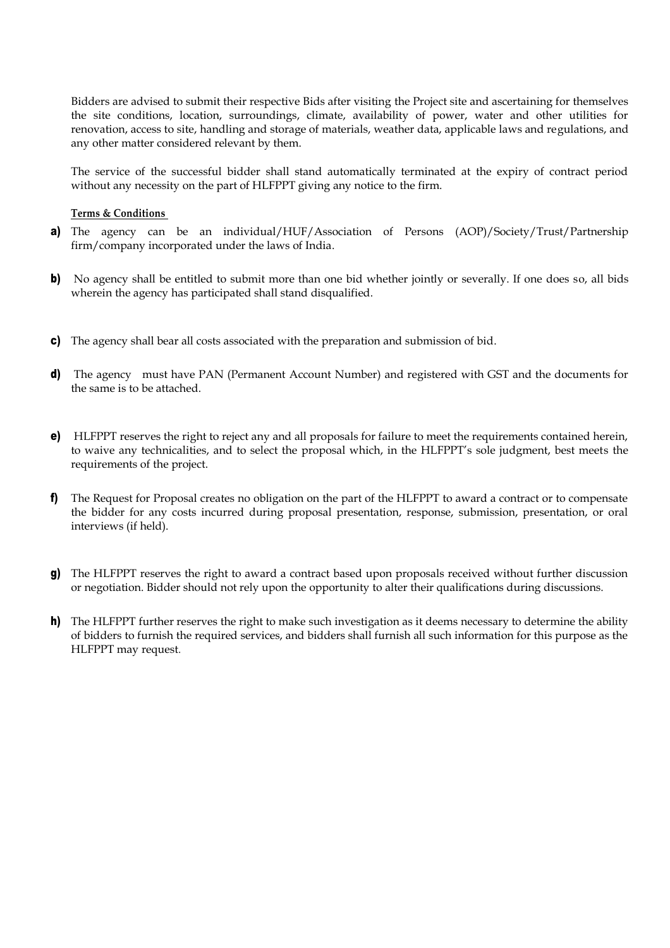Bidders are advised to submit their respective Bids after visiting the Project site and ascertaining for themselves the site conditions, location, surroundings, climate, availability of power, water and other utilities for renovation, access to site, handling and storage of materials, weather data, applicable laws and regulations, and any other matter considered relevant by them.

The service of the successful bidder shall stand automatically terminated at the expiry of contract period without any necessity on the part of HLFPPT giving any notice to the firm.

#### **Terms & Conditions**

- a) The agency can be an individual/HUF/Association of Persons (AOP)/Society/Trust/Partnership firm/company incorporated under the laws of India.
- b) No agency shall be entitled to submit more than one bid whether jointly or severally. If one does so, all bids wherein the agency has participated shall stand disqualified.
- c) The agency shall bear all costs associated with the preparation and submission of bid.
- d) The agency must have PAN (Permanent Account Number) and registered with GST and the documents for the same is to be attached.
- e) HLFPPT reserves the right to reject any and all proposals for failure to meet the requirements contained herein, to waive any technicalities, and to select the proposal which, in the HLFPPT's sole judgment, best meets the requirements of the project.
- f) The Request for Proposal creates no obligation on the part of the HLFPPT to award a contract or to compensate the bidder for any costs incurred during proposal presentation, response, submission, presentation, or oral interviews (if held).
- g) The HLFPPT reserves the right to award a contract based upon proposals received without further discussion or negotiation. Bidder should not rely upon the opportunity to alter their qualifications during discussions.
- h) The HLFPPT further reserves the right to make such investigation as it deems necessary to determine the ability of bidders to furnish the required services, and bidders shall furnish all such information for this purpose as the HLFPPT may request.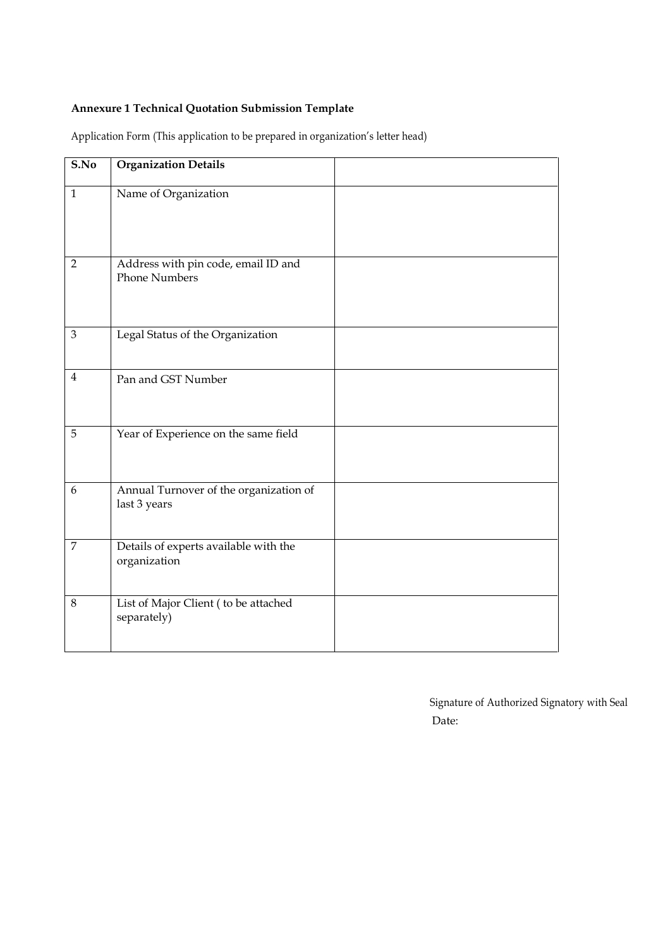# **Annexure 1 Technical Quotation Submission Template**

| S.No           | <b>Organization Details</b>                                 |  |
|----------------|-------------------------------------------------------------|--|
| $\mathbf{1}$   | Name of Organization                                        |  |
| $\overline{2}$ | Address with pin code, email ID and<br><b>Phone Numbers</b> |  |
| 3              | Legal Status of the Organization                            |  |
| $\overline{4}$ | Pan and GST Number                                          |  |
| 5              | Year of Experience on the same field                        |  |
| 6              | Annual Turnover of the organization of<br>last 3 years      |  |
| $\overline{7}$ | Details of experts available with the<br>organization       |  |
| $8\,$          | List of Major Client (to be attached<br>separately)         |  |

Application Form (This application to be prepared in organization's letter head)

Signature of Authorized Signatory with Seal Date: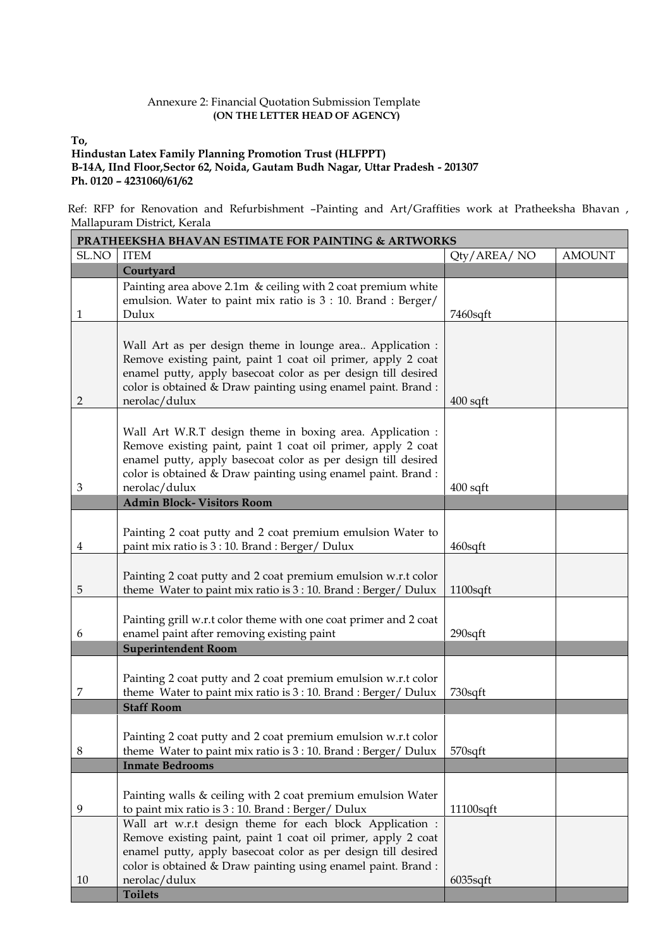## Annexure 2: Financial Quotation Submission Template  **(ON THE LETTER HEAD OF AGENCY)**

**To,**

# **Hindustan Latex Family Planning Promotion Trust (HLFPPT)**

 **B-14A, IInd Floor,Sector 62, Noida, Gautam Budh Nagar, Uttar Pradesh - 201307 Ph. 0120 – 4231060/61/62**

 Ref: RFP for Renovation and Refurbishment –Painting and Art/Graffities work at Pratheeksha Bhavan , Mallapuram District, Kerala

| <b>PRATHEEKSHA BHAVAN ESTIMATE FOR PAINTING &amp; ARTWORKS</b> |                                                                                           |              |               |  |  |
|----------------------------------------------------------------|-------------------------------------------------------------------------------------------|--------------|---------------|--|--|
| SL.NO                                                          | <b>ITEM</b>                                                                               | Qty/AREA/NO  | <b>AMOUNT</b> |  |  |
|                                                                | Courtyard                                                                                 |              |               |  |  |
|                                                                | Painting area above 2.1m $\&$ ceiling with 2 coat premium white                           |              |               |  |  |
|                                                                | emulsion. Water to paint mix ratio is 3 : 10. Brand : Berger/                             |              |               |  |  |
| 1                                                              | Dulux                                                                                     | $7460$ sqft  |               |  |  |
|                                                                |                                                                                           |              |               |  |  |
|                                                                | Wall Art as per design theme in lounge area Application :                                 |              |               |  |  |
|                                                                | Remove existing paint, paint 1 coat oil primer, apply 2 coat                              |              |               |  |  |
|                                                                | enamel putty, apply basecoat color as per design till desired                             |              |               |  |  |
|                                                                | color is obtained & Draw painting using enamel paint. Brand:                              |              |               |  |  |
| $\overline{2}$                                                 | nerolac/dulux                                                                             | $400$ sqft   |               |  |  |
|                                                                |                                                                                           |              |               |  |  |
|                                                                | Wall Art W.R.T design theme in boxing area. Application :                                 |              |               |  |  |
|                                                                | Remove existing paint, paint 1 coat oil primer, apply 2 coat                              |              |               |  |  |
|                                                                | enamel putty, apply basecoat color as per design till desired                             |              |               |  |  |
|                                                                | color is obtained & Draw painting using enamel paint. Brand:                              |              |               |  |  |
| 3                                                              | nerolac/dulux<br><b>Admin Block- Visitors Room</b>                                        | $400$ sqft   |               |  |  |
|                                                                |                                                                                           |              |               |  |  |
|                                                                | Painting 2 coat putty and 2 coat premium emulsion Water to                                |              |               |  |  |
| 4                                                              | paint mix ratio is 3 : 10. Brand : Berger/ Dulux                                          | $460$ sqft   |               |  |  |
|                                                                |                                                                                           |              |               |  |  |
|                                                                | Painting 2 coat putty and 2 coat premium emulsion w.r.t color                             |              |               |  |  |
| 5                                                              | theme Water to paint mix ratio is 3 : 10. Brand : Berger/ Dulux                           | $1100$ sqft  |               |  |  |
|                                                                |                                                                                           |              |               |  |  |
|                                                                | Painting grill w.r.t color theme with one coat primer and 2 coat                          |              |               |  |  |
| 6                                                              | enamel paint after removing existing paint                                                | $290$ sqft   |               |  |  |
|                                                                | <b>Superintendent Room</b>                                                                |              |               |  |  |
|                                                                |                                                                                           |              |               |  |  |
|                                                                | Painting 2 coat putty and 2 coat premium emulsion w.r.t color                             |              |               |  |  |
| 7                                                              | theme Water to paint mix ratio is 3 : 10. Brand : Berger/ Dulux                           | 730sqft      |               |  |  |
|                                                                | <b>Staff Room</b>                                                                         |              |               |  |  |
|                                                                |                                                                                           |              |               |  |  |
|                                                                | Painting 2 coat putty and 2 coat premium emulsion w.r.t color                             |              |               |  |  |
| 8                                                              | theme Water to paint mix ratio is 3 : 10. Brand : Berger/ Dulux<br><b>Inmate Bedrooms</b> | 570sqft      |               |  |  |
|                                                                |                                                                                           |              |               |  |  |
|                                                                | Painting walls & ceiling with 2 coat premium emulsion Water                               |              |               |  |  |
| 9                                                              | to paint mix ratio is 3 : 10. Brand : Berger/ Dulux                                       | $11100$ sqft |               |  |  |
|                                                                | Wall art w.r.t design theme for each block Application :                                  |              |               |  |  |
|                                                                | Remove existing paint, paint 1 coat oil primer, apply 2 coat                              |              |               |  |  |
|                                                                | enamel putty, apply basecoat color as per design till desired                             |              |               |  |  |
|                                                                | color is obtained & Draw painting using enamel paint. Brand :                             |              |               |  |  |
| 10                                                             | nerolac/dulux                                                                             | $6035$ sqft  |               |  |  |
|                                                                | <b>Toilets</b>                                                                            |              |               |  |  |